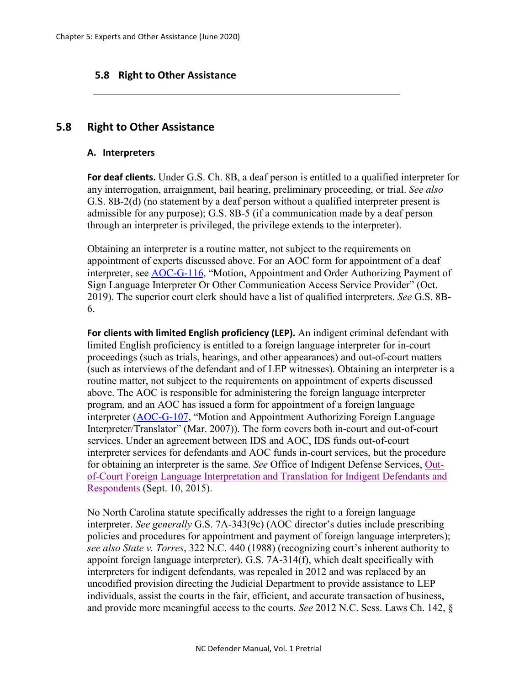# **5.8 Right to Other Assistance**

# **5.8 Right to Other Assistance**

#### **A. Interpreters**

**For deaf clients.** Under G.S. Ch. 8B, a deaf person is entitled to a qualified interpreter for any interrogation, arraignment, bail hearing, preliminary proceeding, or trial. *See also*  G.S. 8B-2(d) (no statement by a deaf person without a qualified interpreter present is admissible for any purpose); G.S. 8B-5 (if a communication made by a deaf person through an interpreter is privileged, the privilege extends to the interpreter).

\_\_\_\_\_\_\_\_\_\_\_\_\_\_\_\_\_\_\_\_\_\_\_\_\_\_\_\_\_\_\_\_\_\_\_\_\_\_\_\_\_\_\_\_\_\_\_\_\_\_\_\_\_\_\_\_\_\_\_

Obtaining an interpreter is a routine matter, not subject to the requirements on appointment of experts discussed above. For an AOC form for appointment of a deaf interpreter, see [AOC-G-116,](https://www.nccourts.gov/documents/forms/motion-appointment-and-order-authorizing-payment-of-sign-language-interpreter-or-other-communication-access-service-provider) "Motion, Appointment and Order Authorizing Payment of Sign Language Interpreter Or Other Communication Access Service Provider" (Oct. 2019). The superior court clerk should have a list of qualified interpreters. *See* G.S. 8B-6.

**For clients with limited English proficiency (LEP).** An indigent criminal defendant with limited English proficiency is entitled to a foreign language interpreter for in-court proceedings (such as trials, hearings, and other appearances) and out-of-court matters (such as interviews of the defendant and of LEP witnesses). Obtaining an interpreter is a routine matter, not subject to the requirements on appointment of experts discussed above. The AOC is responsible for administering the foreign language interpreter program, and an AOC has issued a form for appointment of a foreign language interpreter [\(AOC-G-107,](https://www.nccourts.gov/documents/forms/motion-and-appointment-authorizing-foreign-language-interpretertranslator) "Motion and Appointment Authorizing Foreign Language Interpreter/Translator" (Mar. 2007)). The form covers both in-court and out-of-court services. Under an agreement between IDS and AOC, IDS funds out-of-court interpreter services for defendants and AOC funds in-court services, but the procedure for obtaining an interpreter is the same. *See* Office of Indigent Defense Services, [Out](https://www.ncids.org/resources/out-of-court-foreign-language-interpreters-translators/)[of-Court Foreign Language Interpretation and Translation for Indigent Defendants and](https://www.ncids.org/resources/out-of-court-foreign-language-interpreters-translators/)  [Respondents](https://www.ncids.org/resources/out-of-court-foreign-language-interpreters-translators/) (Sept. 10, 2015).

No North Carolina statute specifically addresses the right to a foreign language interpreter. *See generally* G.S. 7A-343(9c) (AOC director's duties include prescribing policies and procedures for appointment and payment of foreign language interpreters); *see also State v. Torres*, 322 N.C. 440 (1988) (recognizing court's inherent authority to appoint foreign language interpreter). G.S. 7A-314(f), which dealt specifically with interpreters for indigent defendants, was repealed in 2012 and was replaced by an uncodified provision directing the Judicial Department to provide assistance to LEP individuals, assist the courts in the fair, efficient, and accurate transaction of business, and provide more meaningful access to the courts. *See* 2012 N.C. Sess. Laws Ch. 142, §